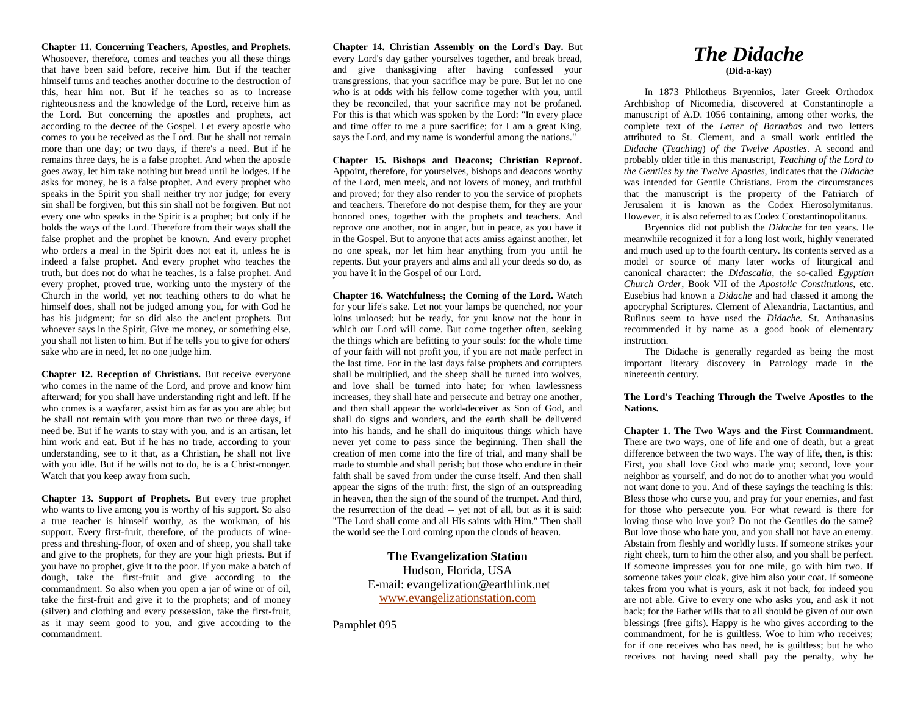**Chapter 11. Concerning Teachers, Apostles, and Prophets.** Whosoever, therefore, comes and teaches you all these things that have been said before, receive him. But if the teacher himself turns and teaches another doctrine to the destruction of this, hear him not. But if he teaches so as to increase righteousness and the knowledge of the Lord, receive him as the Lord. But concerning the apostles and prophets, act according to the decree of the Gospel. Let every apostle who comes to you be received as the Lord. But he shall not remain more than one day; or two days, if there's a need. But if he remains three days, he is a false prophet. And when the apostle goes away, let him take nothing but bread until he lodges. If he asks for money, he is a false prophet. And every prophet who speaks in the Spirit you shall neither try nor judge; for every sin shall be forgiven, but this sin shall not be forgiven. But not every one who speaks in the Spirit is a prophet; but only if he holds the ways of the Lord. Therefore from their ways shall the false prophet and the prophet be known. And every prophet who orders a meal in the Spirit does not eat it, unless he is indeed a false prophet. And every prophet who teaches the truth, but does not do what he teaches, is a false prophet. And every prophet, proved true, working unto the mystery of the Church in the world, yet not teaching others to do what he himself does, shall not be judged among you, for with God he has his judgment; for so did also the ancient prophets. But whoever says in the Spirit, Give me money, or something else, you shall not listen to him. But if he tells you to give for others' sake who are in need, let no one judge him.

**Chapter 12. Reception of Christians.** But receive everyone who comes in the name of the Lord, and prove and know him afterward; for you shall have understanding right and left. If he who comes is a wayfarer, assist him as far as you are able; but he shall not remain with you more than two or three days, if need be. But if he wants to stay with you, and is an artisan, let him work and eat. But if he has no trade, according to your understanding, see to it that, as a Christian, he shall not live with you idle. But if he wills not to do, he is a Christ-monger. Watch that you keep away from such.

**Chapter 13. Support of Prophets.** But every true prophet who wants to live among you is worthy of his support. So also a true teacher is himself worthy, as the workman, of his support. Every first-fruit, therefore, of the products of winepress and threshing-floor, of oxen and of sheep, you shall take and give to the prophets, for they are your high priests. But if you have no prophet, give it to the poor. If you make a batch of dough, take the first-fruit and give according to the commandment. So also when you open a jar of wine or of oil, take the first-fruit and give it to the prophets; and of money (silver) and clothing and every possession, take the first-fruit, as it may seem good to you, and give according to the commandment.

**Chapter 14. Christian Assembly on the Lord's Day.** But every Lord's day gather yourselves together, and break bread, and give thanksgiving after having confessed your transgressions, that your sacrifice may be pure. But let no one who is at odds with his fellow come together with you, until they be reconciled, that your sacrifice may not be profaned. For this is that which was spoken by the Lord: "In every place and time offer to me a pure sacrifice; for I am a great King, says the Lord, and my name is wonderful among the nations."

**Chapter 15. Bishops and Deacons; Christian Reproof.** Appoint, therefore, for yourselves, bishops and deacons worthy of the Lord, men meek, and not lovers of money, and truthful and proved; for they also render to you the service of prophets and teachers. Therefore do not despise them, for they are your honored ones, together with the prophets and teachers. And reprove one another, not in anger, but in peace, as you have it in the Gospel. But to anyone that acts amiss against another, let no one speak, nor let him hear anything from you until he repents. But your prayers and alms and all your deeds so do, as you have it in the Gospel of our Lord.

**Chapter 16. Watchfulness; the Coming of the Lord.** Watch for your life's sake. Let not your lamps be quenched, nor your loins unloosed; but be ready, for you know not the hour in which our Lord will come. But come together often, seeking the things which are befitting to your souls: for the whole time of your faith will not profit you, if you are not made perfect in the last time. For in the last days false prophets and corrupters shall be multiplied, and the sheep shall be turned into wolves, and love shall be turned into hate; for when lawlessness increases, they shall hate and persecute and betray one another, and then shall appear the world-deceiver as Son of God, and shall do signs and wonders, and the earth shall be delivered into his hands, and he shall do iniquitous things which have never yet come to pass since the beginning. Then shall the creation of men come into the fire of trial, and many shall be made to stumble and shall perish; but those who endure in their faith shall be saved from under the curse itself. And then shall appear the signs of the truth: first, the sign of an outspreading in heaven, then the sign of the sound of the trumpet. And third, the resurrection of the dead -- yet not of all, but as it is said: "The Lord shall come and all His saints with Him." Then shall the world see the Lord coming upon the clouds of heaven.

> **The Evangelization Station** Hudson, Florida, USA E-mail: evangelization@earthlink.net [www.evangelizationstation.com](http://www.pjpiisoe.org/)

Pamphlet 095

## *The Didache* **(Did-a-kay)**

In 1873 Philotheus Bryennios, later Greek Orthodox Archbishop of Nicomedia, discovered at Constantinople a manuscript of A.D. 1056 containing, among other works, the complete text of the *Letter of Barnabas* and two letters attributed to St. Clement, and a small work entitled the *Didache* (*Teaching*) *of the Twelve Apostles*. A second and probably older title in this manuscript, *Teaching of the Lord to the Gentiles by the Twelve Apostles,* indicates that the *Didache* was intended for Gentile Christians. From the circumstances that the manuscript is the property of the Patriarch of Jerusalem it is known as the Codex Hierosolymitanus. However, it is also referred to as Codex Constantinopolitanus.

Bryennios did not publish the *Didache* for ten years. He meanwhile recognized it for a long lost work, highly venerated and much used up to the fourth century. Its contents served as a model or source of many later works of liturgical and canonical character: the *Didascalia,* the so-called *Egyptian Church Order,* Book VII of the *Apostolic Constitutions,* etc. Eusebius had known a *Didache* and had classed it among the apocryphal Scriptures. Clement of Alexandria, Lactantius, and Rufinus seem to have used the *Didache.* St. Anthanasius recommended it by name as a good book of elementary instruction.

The Didache is generally regarded as being the most important literary discovery in Patrology made in the nineteenth century.

**The Lord's Teaching Through the Twelve Apostles to the Nations.**

**Chapter 1. The Two Ways and the First Commandment.** There are two ways, one of life and one of death, but a great difference between the two ways. The way of life, then, is this: First, you shall love God who made you; second, love your neighbor as yourself, and do not do to another what you would not want done to you. And of these sayings the teaching is this: Bless those who curse you, and pray for your enemies, and fast for those who persecute you. For what reward is there for loving those who love you? Do not the Gentiles do the same? But love those who hate you, and you shall not have an enemy. Abstain from fleshly and worldly lusts. If someone strikes your right cheek, turn to him the other also, and you shall be perfect. If someone impresses you for one mile, go with him two. If someone takes your cloak, give him also your coat. If someone takes from you what is yours, ask it not back, for indeed you are not able. Give to every one who asks you, and ask it not back; for the Father wills that to all should be given of our own blessings (free gifts). Happy is he who gives according to the commandment, for he is guiltless. Woe to him who receives; for if one receives who has need, he is guiltless; but he who receives not having need shall pay the penalty, why he